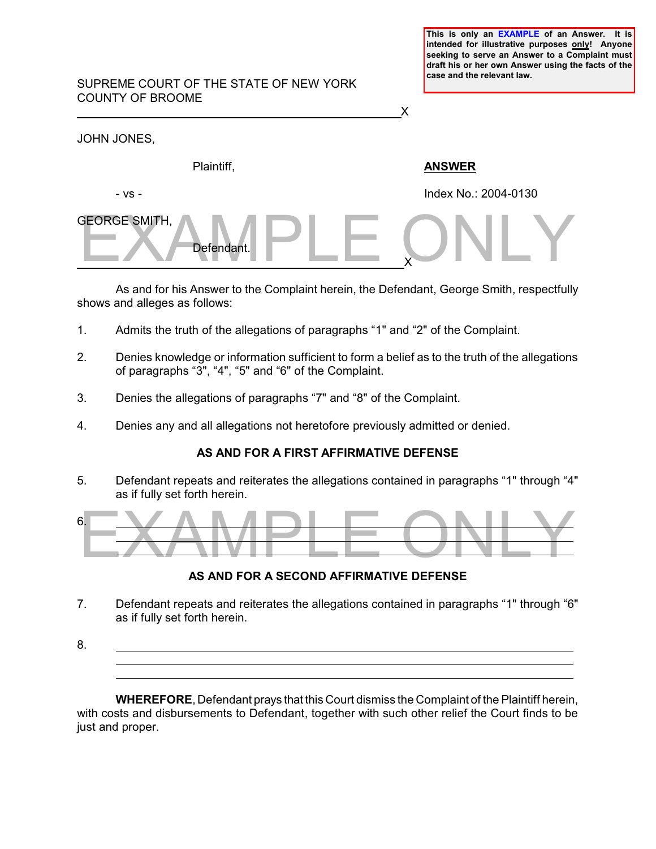**This is only an EXAMPLE of an Answer. It is intended for illustrative purposes only! Anyone seeking to serve an Answer to a Complaint must draft his or her own Answer using the facts of the case and the relevant law.** 

### SUPREME COURT OF THE STATE OF NEW YORK COUNTY OF BROOME

<u>X</u>

| JOHN JONES,                        |                      |
|------------------------------------|----------------------|
| Plaintiff,                         | <b>ANSWER</b>        |
| - VS -                             | Index No.: 2004-0130 |
| <b>GEORGE SMITH,</b><br>Defendant. |                      |

As and for his Answer to the Complaint herein, the Defendant, George Smith, respectfully shows and alleges as follows:

- 1. Admits the truth of the allegations of paragraphs "1" and "2" of the Complaint.
- 2. Denies knowledge or information sufficient to form a belief as to the truth of the allegations of paragraphs "3", "4", "5" and "6" of the Complaint.
- 3. Denies the allegations of paragraphs "7" and "8" of the Complaint.
- 4. Denies any and all allegations not heretofore previously admitted or denied.

# **AS AND FOR A FIRST AFFIRMATIVE DEFENSE**

5. Defendant repeats and reiterates the allegations contained in paragraphs "1" through "4" as if fully set forth herein.



# **AS AND FOR A SECOND AFFIRMATIVE DEFENSE**

- 7. Defendant repeats and reiterates the allegations contained in paragraphs "1" through "6" as if fully set forth herein.
- 8.  $\overline{a}$

**WHEREFORE**, Defendant prays that this Court dismiss the Complaint of the Plaintiff herein, with costs and disbursements to Defendant, together with such other relief the Court finds to be just and proper.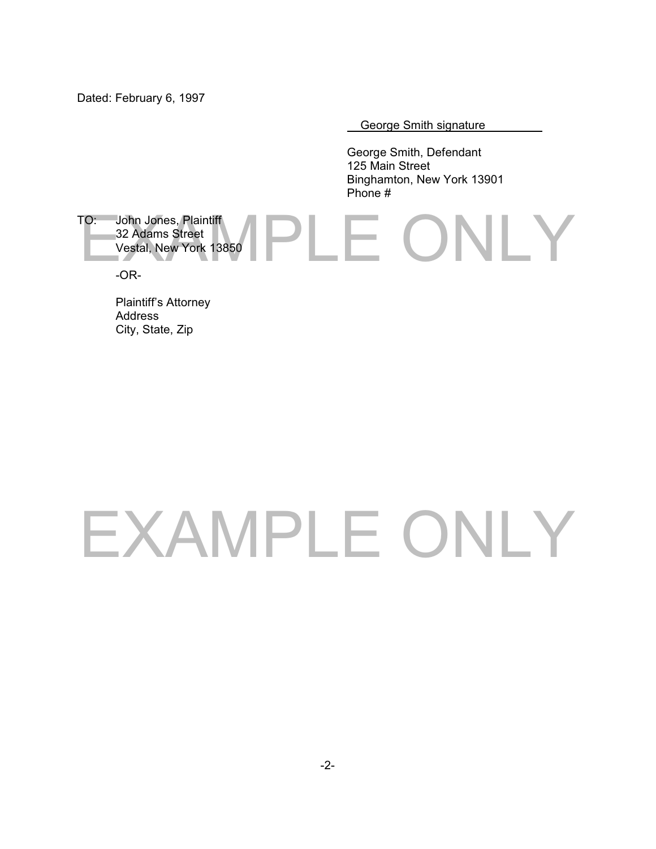Dated: February 6, 1997

George Smith signature

George Smith, Defendant 125 Main Street Binghamton, New York 13901 Phone #

### IPI E ONLY TO: John Jones, Plaintiff 32 Adams Street Vestal, New York 13850 -OR-

Plaintiff's Attorney Address City, State, Zip

# EXAMPLE ONLY